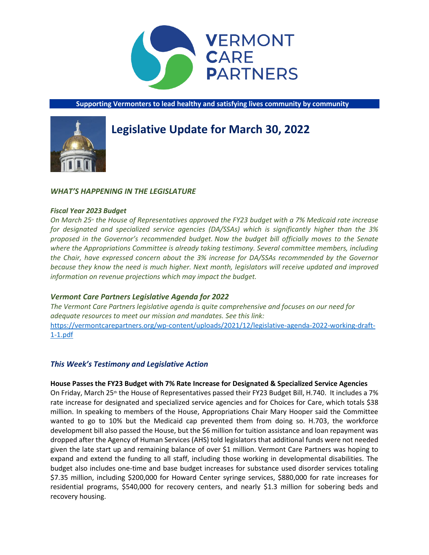

**Supporting Vermonters to lead healthy and satisfying lives community by community**



# **Legislative Update for March 30, 2022**

# *WHAT'S HAPPENING IN THE LEGISLATURE*

## *Fiscal Year 2023 Budget*

*On March 25th the House of Representatives approved the FY23 budget with a 7% Medicaid rate increase for designated and specialized service agencies (DA/SSAs) which is significantly higher than the 3% proposed in the Governor's recommended budget. Now the budget bill officially moves to the Senate where the Appropriations Committee is already taking testimony. Several committee members, including the Chair, have expressed concern about the 3% increase for DA/SSAs recommended by the Governor because they know the need is much higher. Next month, legislators will receive updated and improved information on revenue projections which may impact the budget.*

# *Vermont Care Partners Legislative Agenda for 2022*

*The Vermont Care Partners legislative agenda is quite comprehensive and focuses on our need for adequate resources to meet our mission and mandates. See this link:*  [https://vermontcarepartners.org/wp-content/uploads/2021/12/legislative-agenda-2022-working-draft-](https://vermontcarepartners.org/wp-content/uploads/2021/12/legislative-agenda-2022-working-draft-1-1.pdf)[1-1.pdf](https://vermontcarepartners.org/wp-content/uploads/2021/12/legislative-agenda-2022-working-draft-1-1.pdf)

# *This Week's Testimony and Legislative Action*

## **House Passes the FY23 Budget with 7% Rate Increase for Designated & Specialized Service Agencies**

On Friday, March 25<sup>th</sup> the House of Representatives passed their FY23 Budget Bill, H.740. It includes a 7% rate increase for designated and specialized service agencies and for Choices for Care, which totals \$38 million. In speaking to members of the House, Appropriations Chair Mary Hooper said the Committee wanted to go to 10% but the Medicaid cap prevented them from doing so. H.703, the workforce development bill also passed the House, but the \$6 million for tuition assistance and loan repayment was dropped after the Agency of Human Services (AHS) told legislators that additional funds were not needed given the late start up and remaining balance of over \$1 million. Vermont Care Partners was hoping to expand and extend the funding to all staff, including those working in developmental disabilities. The budget also includes one-time and base budget increases for substance used disorder services totaling \$7.35 million, including \$200,000 for Howard Center syringe services, \$880,000 for rate increases for residential programs, \$540,000 for recovery centers, and nearly \$1.3 million for sobering beds and recovery housing.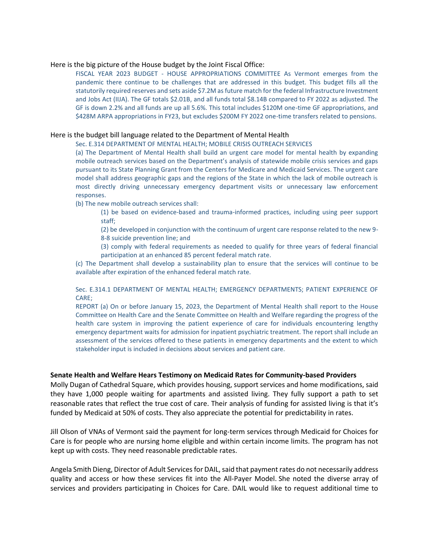#### Here is the big picture of the House budget by the Joint Fiscal Office:

FISCAL YEAR 2023 BUDGET - HOUSE APPROPRIATIONS COMMITTEE As Vermont emerges from the pandemic there continue to be challenges that are addressed in this budget. This budget fills all the statutorily required reserves and sets aside \$7.2M as future match for the federal Infrastructure Investment and Jobs Act (IIJA). The GF totals \$2.01B, and all funds total \$8.14B compared to FY 2022 as adjusted. The GF is down 2.2% and all funds are up all 5.6%. This total includes \$120M one-time GF appropriations, and \$428M ARPA appropriations in FY23, but excludes \$200M FY 2022 one-time transfers related to pensions.

#### Here is the budget bill language related to the Department of Mental Health

Sec. E.314 DEPARTMENT OF MENTAL HEALTH; MOBILE CRISIS OUTREACH SERVICES

(a) The Department of Mental Health shall build an urgent care model for mental health by expanding mobile outreach services based on the Department's analysis of statewide mobile crisis services and gaps pursuant to its State Planning Grant from the Centers for Medicare and Medicaid Services. The urgent care model shall address geographic gaps and the regions of the State in which the lack of mobile outreach is most directly driving unnecessary emergency department visits or unnecessary law enforcement responses.

(b) The new mobile outreach services shall:

(1) be based on evidence-based and trauma-informed practices, including using peer support staff;

(2) be developed in conjunction with the continuum of urgent care response related to the new 9- 8-8 suicide prevention line; and

(3) comply with federal requirements as needed to qualify for three years of federal financial participation at an enhanced 85 percent federal match rate.

(c) The Department shall develop a sustainability plan to ensure that the services will continue to be available after expiration of the enhanced federal match rate.

Sec. E.314.1 DEPARTMENT OF MENTAL HEALTH; EMERGENCY DEPARTMENTS; PATIENT EXPERIENCE OF CARE;

REPORT (a) On or before January 15, 2023, the Department of Mental Health shall report to the House Committee on Health Care and the Senate Committee on Health and Welfare regarding the progress of the health care system in improving the patient experience of care for individuals encountering lengthy emergency department waits for admission for inpatient psychiatric treatment. The report shall include an assessment of the services offered to these patients in emergency departments and the extent to which stakeholder input is included in decisions about services and patient care.

#### **Senate Health and Welfare Hears Testimony on Medicaid Rates for Community-based Providers**

Molly Dugan of Cathedral Square, which provides housing, support services and home modifications, said they have 1,000 people waiting for apartments and assisted living. They fully support a path to set reasonable rates that reflect the true cost of care. Their analysis of funding for assisted living is that it's funded by Medicaid at 50% of costs. They also appreciate the potential for predictability in rates.

Jill Olson of VNAs of Vermont said the payment for long-term services through Medicaid for Choices for Care is for people who are nursing home eligible and within certain income limits. The program has not kept up with costs. They need reasonable predictable rates.

Angela Smith Dieng, Director of Adult Services for DAIL, said that payment rates do not necessarily address quality and access or how these services fit into the All-Payer Model. She noted the diverse array of services and providers participating in Choices for Care. DAIL would like to request additional time to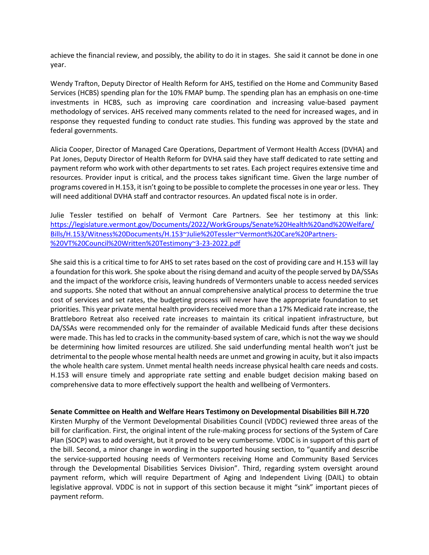achieve the financial review, and possibly, the ability to do it in stages. She said it cannot be done in one year.

Wendy Trafton, Deputy Director of Health Reform for AHS, testified on the Home and Community Based Services (HCBS) spending plan for the 10% FMAP bump. The spending plan has an emphasis on one-time investments in HCBS, such as improving care coordination and increasing value-based payment methodology of services. AHS received many comments related to the need for increased wages, and in response they requested funding to conduct rate studies. This funding was approved by the state and federal governments.

Alicia Cooper, Director of Managed Care Operations, Department of Vermont Health Access (DVHA) and Pat Jones, Deputy Director of Health Reform for DVHA said they have staff dedicated to rate setting and payment reform who work with other departments to set rates. Each project requires extensive time and resources. Provider input is critical, and the process takes significant time. Given the large number of programs covered in H.153, it isn't going to be possible to complete the processes in one year or less. They will need additional DVHA staff and contractor resources. An updated fiscal note is in order.

Julie Tessler testified on behalf of Vermont Care Partners. See her testimony at this link: [https://legislature.vermont.gov/Documents/2022/WorkGroups/Senate%20Health%20and%20Welfare/](https://legislature.vermont.gov/Documents/2022/WorkGroups/Senate%20Health%20and%20Welfare/Bills/H.153/Witness%20Documents/H.153~Julie%20Tessler~Vermont%20Care%20Partners-%20VT%20Council%20Written%20Testimony~3-23-2022.pdf) [Bills/H.153/Witness%20Documents/H.153~Julie%20Tessler~Vermont%20Care%20Partners-](https://legislature.vermont.gov/Documents/2022/WorkGroups/Senate%20Health%20and%20Welfare/Bills/H.153/Witness%20Documents/H.153~Julie%20Tessler~Vermont%20Care%20Partners-%20VT%20Council%20Written%20Testimony~3-23-2022.pdf) [%20VT%20Council%20Written%20Testimony~3-23-2022.pdf](https://legislature.vermont.gov/Documents/2022/WorkGroups/Senate%20Health%20and%20Welfare/Bills/H.153/Witness%20Documents/H.153~Julie%20Tessler~Vermont%20Care%20Partners-%20VT%20Council%20Written%20Testimony~3-23-2022.pdf)

She said this is a critical time to for AHS to set rates based on the cost of providing care and H.153 will lay a foundation for this work. She spoke about the rising demand and acuity of the people served by DA/SSAs and the impact of the workforce crisis, leaving hundreds of Vermonters unable to access needed services and supports. She noted that without an annual comprehensive analytical process to determine the true cost of services and set rates, the budgeting process will never have the appropriate foundation to set priorities. This year private mental health providers received more than a 17% Medicaid rate increase, the Brattleboro Retreat also received rate increases to maintain its critical inpatient infrastructure, but DA/SSAs were recommended only for the remainder of available Medicaid funds after these decisions were made. This has led to cracks in the community-based system of care, which is not the way we should be determining how limited resources are utilized. She said underfunding mental health won't just be detrimental to the people whose mental health needs are unmet and growing in acuity, but it also impacts the whole health care system. Unmet mental health needs increase physical health care needs and costs. H.153 will ensure timely and appropriate rate setting and enable budget decision making based on comprehensive data to more effectively support the health and wellbeing of Vermonters.

**Senate Committee on Health and Welfare Hears Testimony on Developmental Disabilities Bill H.720**

Kirsten Murphy of the Vermont Developmental Disabilities Council (VDDC) reviewed three areas of the bill for clarification. First, the original intent of the rule-making process for sections of the System of Care Plan (SOCP) was to add oversight, but it proved to be very cumbersome. VDDC is in support of this part of the bill. Second, a minor change in wording in the supported housing section, to "quantify and describe the service-supported housing needs of Vermonters receiving Home and Community Based Services through the Developmental Disabilities Services Division". Third, regarding system oversight around payment reform, which will require Department of Aging and Independent Living (DAIL) to obtain legislative approval. VDDC is not in support of this section because it might "sink" important pieces of payment reform.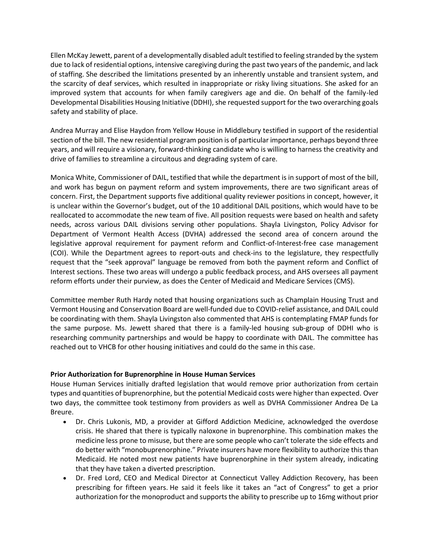Ellen McKay Jewett, parent of a developmentally disabled adult testified to feeling stranded by the system due to lack of residential options, intensive caregiving during the past two years of the pandemic, and lack of staffing. She described the limitations presented by an inherently unstable and transient system, and the scarcity of deaf services, which resulted in inappropriate or risky living situations. She asked for an improved system that accounts for when family caregivers age and die. On behalf of the family-led Developmental Disabilities Housing Initiative (DDHI), she requested support for the two overarching goals safety and stability of place.

Andrea Murray and Elise Haydon from Yellow House in Middlebury testified in support of the residential section of the bill. The new residential program position is of particular importance, perhaps beyond three years, and will require a visionary, forward-thinking candidate who is willing to harness the creativity and drive of families to streamline a circuitous and degrading system of care.

Monica White, Commissioner of DAIL, testified that while the department is in support of most of the bill, and work has begun on payment reform and system improvements, there are two significant areas of concern. First, the Department supports five additional quality reviewer positions in concept, however, it is unclear within the Governor's budget, out of the 10 additional DAIL positions, which would have to be reallocated to accommodate the new team of five. All position requests were based on health and safety needs, across various DAIL divisions serving other populations. Shayla Livingston, Policy Advisor for Department of Vermont Health Access (DVHA) addressed the second area of concern around the legislative approval requirement for payment reform and Conflict-of-Interest-free case management (COI). While the Department agrees to report-outs and check-ins to the legislature, they respectfully request that the "seek approval" language be removed from both the payment reform and Conflict of Interest sections. These two areas will undergo a public feedback process, and AHS oversees all payment reform efforts under their purview, as does the Center of Medicaid and Medicare Services (CMS).

Committee member Ruth Hardy noted that housing organizations such as Champlain Housing Trust and Vermont Housing and Conservation Board are well-funded due to COVID-relief assistance, and DAIL could be coordinating with them. Shayla Livingston also commented that AHS is contemplating FMAP funds for the same purpose. Ms. Jewett shared that there is a family-led housing sub-group of DDHI who is researching community partnerships and would be happy to coordinate with DAIL. The committee has reached out to VHCB for other housing initiatives and could do the same in this case.

# **Prior Authorization for Buprenorphine in House Human Services**

House Human Services initially drafted legislation that would remove prior authorization from certain types and quantities of buprenorphine, but the potential Medicaid costs were higher than expected. Over two days, the committee took testimony from providers as well as DVHA Commissioner Andrea De La Breure.

- Dr. Chris Lukonis, MD, a provider at Gifford Addiction Medicine, acknowledged the overdose crisis. He shared that there is typically naloxone in buprenorphine. This combination makes the medicine less prone to misuse, but there are some people who can't tolerate the side effects and do better with "monobuprenorphine." Private insurers have more flexibility to authorize this than Medicaid. He noted most new patients have buprenorphine in their system already, indicating that they have taken a diverted prescription.
- Dr. Fred Lord, CEO and Medical Director at Connecticut Valley Addiction Recovery, has been prescribing for fifteen years. He said it feels like it takes an "act of Congress" to get a prior authorization for the monoproduct and supports the ability to prescribe up to 16mg without prior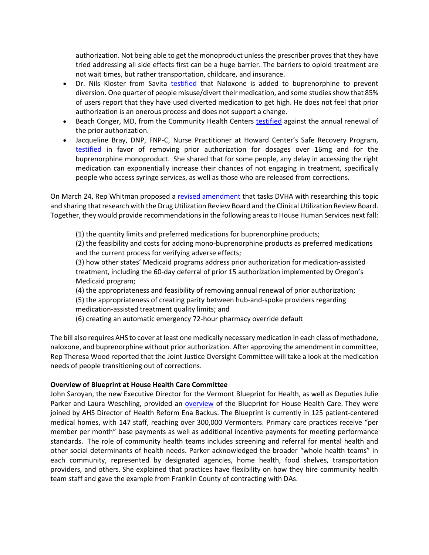authorization. Not being able to get the monoproduct unless the prescriber proves that they have tried addressing all side effects first can be a huge barrier. The barriers to opioid treatment are not wait times, but rather transportation, childcare, and insurance.

- Dr. Nils Kloster from Savita [testified](https://legislature.vermont.gov/Documents/2022/WorkGroups/House%20Human%20Services/Bills/H.728/Witness%20Documents/H.728~Nels%20Kloster~Physician%20Testimony~3-23-2022.pdf) that Naloxone is added to buprenorphine to prevent diversion. One quarter of people misuse/divert their medication, and some studies show that 85% of users report that they have used diverted medication to get high. He does not feel that prior authorization is an onerous process and does not support a change.
- Beach Conger, MD, from the Community Health Centers [testified](https://legislature.vermont.gov/Documents/2022/WorkGroups/House%20Human%20Services/Bills/H.728/Witness%20Documents/H.728~Beach%20Conger~Physician%20Testimony~3-23-2022.pdf) against the annual renewal of the prior authorization.
- Jacqueline Bray, DNP, FNP-C, Nurse Practitioner at Howard Center's Safe Recovery Program, [testified](https://legislature.vermont.gov/Documents/2022/WorkGroups/House%20Human%20Services/Bills/H.728/Witness%20Documents/H.728~Jacqueline%20Bray~Nurse%20Practitioner%20Testimony~3-23-2022.pdf) in favor of removing prior authorization for dosages over 16mg and for the buprenorphine monoproduct. She shared that for some people, any delay in accessing the right medication can exponentially increase their chances of not engaging in treatment, specifically people who access syringe services, as well as those who are released from corrections.

On March 24, Rep Whitman proposed a [revised amendment](https://legislature.vermont.gov/Documents/2022/WorkGroups/House%20Human%20Services/Bills/H.728/Drafts,%20Amendments%20and%20Legal%20Documents/H.728~Katie%20McLinn~%20Draft%204.1,%203-23-2022;%20Whitman%20Amendment~3-24-2022.pdf) that tasks DVHA with researching this topic and sharing that research with the Drug Utilization Review Board and the Clinical Utilization Review Board. Together, they would provide recommendations in the following areas to House Human Services next fall:

(1) the quantity limits and preferred medications for buprenorphine products;

(2) the feasibility and costs for adding mono-buprenorphine products as preferred medications and the current process for verifying adverse effects;

(3) how other states' Medicaid programs address prior authorization for medication-assisted treatment, including the 60-day deferral of prior 15 authorization implemented by Oregon's Medicaid program;

(4) the appropriateness and feasibility of removing annual renewal of prior authorization; (5) the appropriateness of creating parity between hub-and-spoke providers regarding medication-assisted treatment quality limits; and

(6) creating an automatic emergency 72-hour pharmacy override default

The bill also requires AHS to cover at least one medically necessary medication in each class of methadone, naloxone, and buprenorphine without prior authorization. After approving the amendment in committee, Rep Theresa Wood reported that the Joint Justice Oversight Committee will take a look at the medication needs of people transitioning out of corrections.

## **Overview of Blueprint at House Health Care Committee**

John Saroyan, the new Executive Director for the Vermont Blueprint for Health, as well as Deputies Julie Parker and Laura Weschling, provided an **overview** of the Blueprint for House Health Care. They were joined by AHS Director of Health Reform Ena Backus. The Blueprint is currently in 125 patient-centered medical homes, with 147 staff, reaching over 300,000 Vermonters. Primary care practices receive "per member per month" base payments as well as additional incentive payments for meeting performance standards. The role of community health teams includes screening and referral for mental health and other social determinants of health needs. Parker acknowledged the broader "whole health teams" in each community, represented by designated agencies, home health, food shelves, transportation providers, and others. She explained that practices have flexibility on how they hire community health team staff and gave the example from Franklin County of contracting with DAs.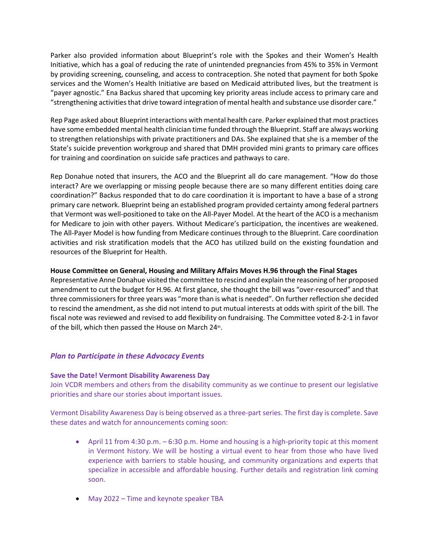Parker also provided information about Blueprint's role with the Spokes and their Women's Health Initiative, which has a goal of reducing the rate of unintended pregnancies from 45% to 35% in Vermont by providing screening, counseling, and access to contraception. She noted that payment for both Spoke services and the Women's Health Initiative are based on Medicaid attributed lives, but the treatment is "payer agnostic." Ena Backus shared that upcoming key priority areas include access to primary care and "strengthening activities that drive toward integration of mental health and substance use disorder care."

Rep Page asked about Blueprint interactions with mental health care. Parker explained that most practices have some embedded mental health clinician time funded through the Blueprint. Staff are always working to strengthen relationships with private practitioners and DAs. She explained that she is a member of the State's suicide prevention workgroup and shared that DMH provided mini grants to primary care offices for training and coordination on suicide safe practices and pathways to care.

Rep Donahue noted that insurers, the ACO and the Blueprint all do care management. "How do those interact? Are we overlapping or missing people because there are so many different entities doing care coordination?" Backus responded that to do care coordination it is important to have a base of a strong primary care network. Blueprint being an established program provided certainty among federal partners that Vermont was well-positioned to take on the All-Payer Model. At the heart of the ACO is a mechanism for Medicare to join with other payers. Without Medicare's participation, the incentives are weakened. The All-Payer Model is how funding from Medicare continues through to the Blueprint. Care coordination activities and risk stratification models that the ACO has utilized build on the existing foundation and resources of the Blueprint for Health.

## **House Committee on General, Housing and Military Affairs Moves H.96 through the Final Stages**

Representative Anne Donahue visited the committee to rescind and explain the reasoning of her proposed amendment to cut the budget for H.96. At first glance, she thought the bill was "over-resourced" and that three commissioners for three years was "more than is what is needed". On further reflection she decided to rescind the amendment, as she did not intend to put mutual interests at odds with spirit of the bill. The fiscal note was reviewed and revised to add flexibility on fundraising. The Committee voted 8-2-1 in favor of the bill, which then passed the House on March 24<sup>th</sup>.

# *Plan to Participate in these Advocacy Events*

## **Save the Date! Vermont Disability Awareness Day**

Join VCDR members and others from the disability community as we continue to present our legislative priorities and share our stories about important issues. 

Vermont Disability Awareness Day is being observed as a three-part series. The first day is complete. Save these dates and watch for announcements coming soon:   

- April 11 from 4:30 p.m. 6:30 p.m. Home and housing is a high-priority topic at this moment in Vermont history. We will be hosting a virtual event to hear from those who have lived experience with barriers to stable housing, and community organizations and experts that specialize in accessible and affordable housing. Further details and registration link coming soon.
- May 2022 – Time and keynote speaker TBA